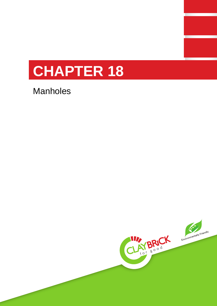

Manholes

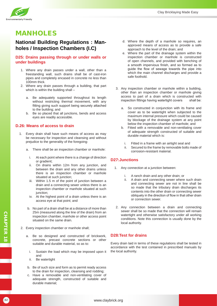

# MANHOLES

# **National Building Regulations : Manholes / Inspection Chambers (I.C)**

### **D25: Drains passing through or under walls or under buildings**

- 1. Where any drain passes under a wall, other than a freestanding wall, such drains shall be of cast-iron pipes and completely encased in concrete no less than 100mm thick.
- 2. Where any drain passes through a building, that part which is within the building shall
	- a. Be adequately supported throughout its length without restricting thermal movement, with any fitting giving such support being securely attached to the building; and
	- b. Be so placed that all junctions, bends and access eyes are readily accessible.

#### **D.26: Means of access to drain**

- 1. Every drain shall have such means of access as may be necessary for inspection and cleansing and without prejudice to the generality of the foregoing:
	- a. There shall be an inspection chamber or manhole:
		- i. At each point where there is a change of direction or gradient;
		- ii. On drains within 12m from any junction, and between the drain and any other drains unless there is an inspection chamber or manhole situated at such junction;
		- iii. Within 1.5 m of the point of junction between a drain and a connecting sewer unless there is an inspection chamber or manhole situated at such junction;
		- iv. At the highest point of a drain unless there is an access eye at that point; and
	- b. No part of a drain shall be at a distance of more than 25m (measured along the line of the drain) from an inspection chamber, manhole or other access point situated on the same drain.
- 2. Every inspection chamber or manhole shall;
- Som (measured along the line of the drain) from an inspection change or other access point situated on the same drain.<br>
2. Every inspection chamber or manhole shall;<br>
2. Every inspection chamber or manhole shall;<br>
2. Every a. Be so designed and constructed of brickwork, concrete, precast concrete sections or other suitable and durable material, so as to:
	- i. Sustain the load which may be imposed upon it and
	- ii. Be watertight
	- b. Be of such size and form as to permit ready access to the drain for inspection, cleansing and rodding;
	- c. Have a removable and non-ventilating cover of adequate strength, constructed of suitable and durable material;
- d. Where the depth of a manhole so requires, an approved means of access as to provide a safe approach to the level of the drain; and
- e. Where the part of the drainage system within the inspection chamber or manhole is constructed of open channels, and provided with benching of a smooth impervious finish, and so formed as to guide the flow of sewage towards the pipe into which the main channel discharges and provide a safe foothold.
- 3. Any inspection chamber or manhole within a building, other than an inspection chamber or manhole giving access to part of a drain which is constructed with inspection fittings having watertight covers shall be:
	- a. So constructed in conjunction with its frame and cover as to be watertight when subjected to the maximum internal pressure which could be caused by blockage of the drainage system at any point below the inspection chamber of manhole; and
	- b. Fitted with a removable and non-ventilating cover of adequate strength constructed of suitable and durable material which is:
		- i. Fitted in a frame with an airtight seal and
		- ii. Secured to the frame by removable bolts made of corrosion-resistant material.

## **D27:Junctions**

- 1. Any connection at a junction between:
	- i. A ranch drain and any other drain; or
	- ii. A drain and connecting sewer where such drain and connecting sewer are not in line shall be so made that the tributary drain discharges its contents into the other drain or connecting sewer obliquely in the direction of flow in that other drain or connection sewer.
- 2. Any connection between a drain and connecting sewer shall be so made that the connection will remain watertight and otherwise satisfactory under all working conditions. Note this connection is usually done by the local authority.

## **D28:Test for drains**

Every drain laid in terms of these regulations shall be tested in accordance with the test contained in prescribed manuals by the local authority.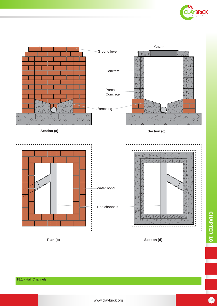



**Plan (b) Section (d)**